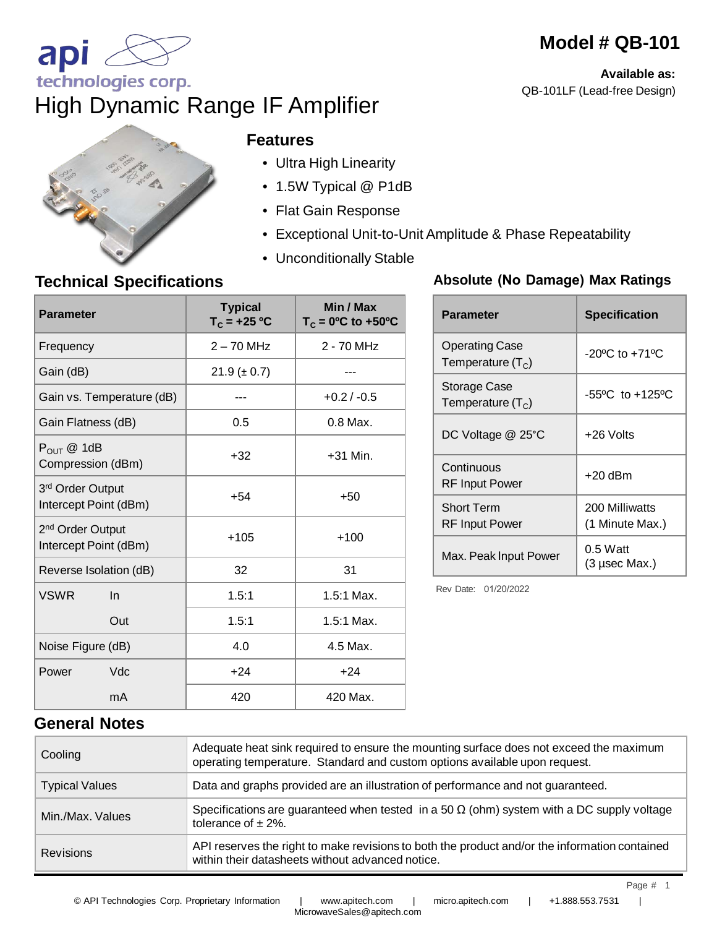# **Available as:**

**Model # QB-101**

QB-101LF (Lead-free Design)

# High Dynamic Range IF Amplifier

| <b>DO RD</b> |  |
|--------------|--|
|              |  |
|              |  |
|              |  |

**SE TO BE** 

#### **Features**

- Ultra High Linearity
- 1.5W Typical @ P1dB
- Flat Gain Response
- Exceptional Unit-to-Unit Amplitude & Phase Repeatability
- Unconditionally Stable

### **Technical Specifications**

| <b>Parameter</b>                                      | <b>Typical</b><br>$T_c = +25 °C$ | Min / Max<br>$T_c = 0$ <sup>o</sup> C to +50 <sup>o</sup> C |
|-------------------------------------------------------|----------------------------------|-------------------------------------------------------------|
| Frequency                                             | $2 - 70$ MHz                     | 2 - 70 MHz                                                  |
| Gain (dB)                                             | $21.9 (\pm 0.7)$                 |                                                             |
| Gain vs. Temperature (dB)                             |                                  | $+0.2 / -0.5$                                               |
| Gain Flatness (dB)                                    | 0.5                              | 0.8 Max.                                                    |
| $P_{OUT}$ @ 1dB<br>Compression (dBm)                  | $+32$                            | $+31$ Min.                                                  |
| 3rd Order Output<br>Intercept Point (dBm)             | $+54$                            | $+50$                                                       |
| 2 <sup>nd</sup> Order Output<br>Intercept Point (dBm) | $+105$                           | $+100$                                                      |
| Reverse Isolation (dB)                                | 32                               | 31                                                          |
| <b>VSWR</b><br>In                                     | 1.5:1                            | $1.5:1$ Max.                                                |
| Out                                                   | 1.5:1                            | $1.5:1$ Max.                                                |
| Noise Figure (dB)                                     | 4.0                              | 4.5 Max.                                                    |
| Vdc<br>Power                                          | $+24$                            | $+24$                                                       |
| mA                                                    | 420                              | 420 Max.                                                    |

#### **Absolute (No Damage) Max Ratings**

| <b>Parameter</b>                           | <b>Specification</b>                |  |
|--------------------------------------------|-------------------------------------|--|
| Operating Case<br>Temperature $(T_c)$      | $-20^{\circ}$ C to $+71^{\circ}$ C  |  |
| Storage Case<br>Temperature $(TC)$         | $-55^{\circ}$ C to $+125^{\circ}$ C |  |
| DC Voltage @ 25°C                          | +26 Volts                           |  |
| Continuous<br><b>RF</b> Input Power        | $+20$ dBm                           |  |
| <b>Short Term</b><br><b>RF Input Power</b> | 200 Milliwatts<br>(1 Minute Max.)   |  |
| Max. Peak Input Power                      | $0.5$ Watt<br>(3 µsec Max.)         |  |

Rev Date: 01/20/2022

**General Notes**

| Cooling               | Adequate heat sink required to ensure the mounting surface does not exceed the maximum<br>operating temperature. Standard and custom options available upon request. |
|-----------------------|----------------------------------------------------------------------------------------------------------------------------------------------------------------------|
| <b>Typical Values</b> | Data and graphs provided are an illustration of performance and not guaranteed.                                                                                      |
| Min./Max. Values      | Specifications are guaranteed when tested in a 50 $\Omega$ (ohm) system with a DC supply voltage<br>tolerance of $\pm$ 2%.                                           |
| <b>Revisions</b>      | API reserves the right to make revisions to both the product and/or the information contained<br>within their datasheets without advanced notice.                    |

MicrowaveSales@apitech.com

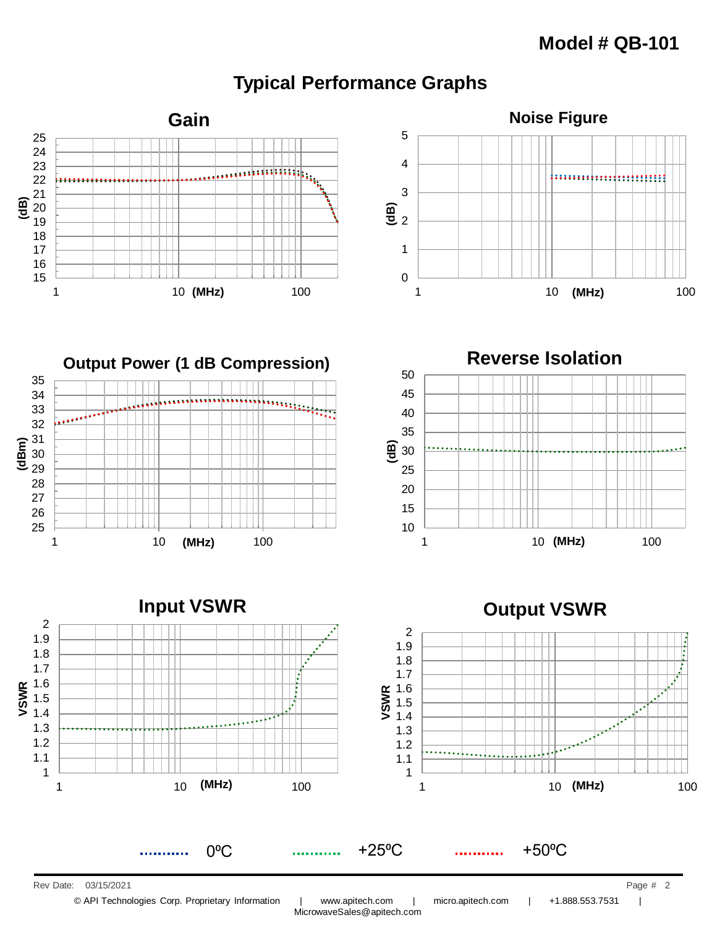## **Typical Performance Graphs**











© API Technologies Corp. Proprietary Information | www.apitech.com | micro.apitech.com | +1.888.553.7531 |

MicrowaveSales@apitech.com